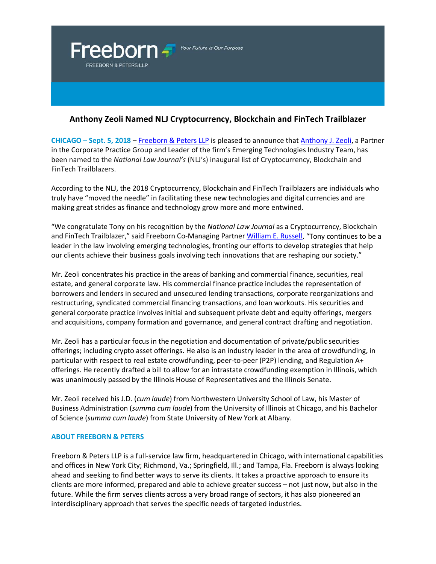

## **Anthony Zeoli Named NLJ Cryptocurrency, Blockchain and FinTech Trailblazer**

**CHICAGO** – **Sept. 5, 2018** – [Freeborn & Peters LLP](http://www.freeborn.com/) is pleased to announce that [Anthony J. Zeoli,](https://www.freeborn.com/attorney/anthony-j-zeoli) a Partner in the Corporate Practice Group and Leader of the firm's Emerging Technologies Industry Team, has been named to the *National Law Journal's* (NLJ's) inaugural list of Cryptocurrency, Blockchain and FinTech Trailblazers.

According to the NLJ, the 2018 Cryptocurrency, Blockchain and FinTech Trailblazers are individuals who truly have "moved the needle" in facilitating these new technologies and digital currencies and are making great strides as finance and technology grow more and more entwined.

"We congratulate Tony on his recognition by the *National Law Journal* as a Cryptocurrency, Blockchain and FinTech Trailblazer," said Freeborn Co-Managing Partner [William E. Russell.](https://www.freeborn.com/attorney/william-e-russell) "Tony continues to be a leader in the law involving emerging technologies, fronting our efforts to develop strategies that help our clients achieve their business goals involving tech innovations that are reshaping our society."

Mr. Zeoli concentrates his practice in the areas of banking and commercial finance, securities, real estate, and general corporate law. His commercial finance practice includes the representation of borrowers and lenders in secured and unsecured lending transactions, corporate reorganizations and restructuring, syndicated commercial financing transactions, and loan workouts. His securities and general corporate practice involves initial and subsequent private debt and equity offerings, mergers and acquisitions, company formation and governance, and general contract drafting and negotiation.

Mr. Zeoli has a particular focus in the negotiation and documentation of private/public securities offerings; including crypto asset offerings. He also is an industry leader in the area of crowdfunding, in particular with respect to real estate crowdfunding, peer-to-peer (P2P) lending, and Regulation A+ offerings. He recently drafted a bill to allow for an intrastate crowdfunding exemption in Illinois, which was unanimously passed by the Illinois House of Representatives and the Illinois Senate.

Mr. Zeoli received his J.D. (*cum laude*) from Northwestern University School of Law, his Master of Business Administration (*summa cum laude*) from the University of Illinois at Chicago, and his Bachelor of Science (*summa cum laude*) from State University of New York at Albany.

## **ABOUT FREEBORN & PETERS**

Freeborn & Peters LLP is a full-service law firm, headquartered in Chicago, with international capabilities and offices in New York City; Richmond, Va.; Springfield, Ill.; and Tampa, Fla. Freeborn is always looking ahead and seeking to find better ways to serve its clients. It takes a proactive approach to ensure its clients are more informed, prepared and able to achieve greater success – not just now, but also in the future. While the firm serves clients across a very broad range of sectors, it has also pioneered an interdisciplinary approach that serves the specific needs of targeted industries.